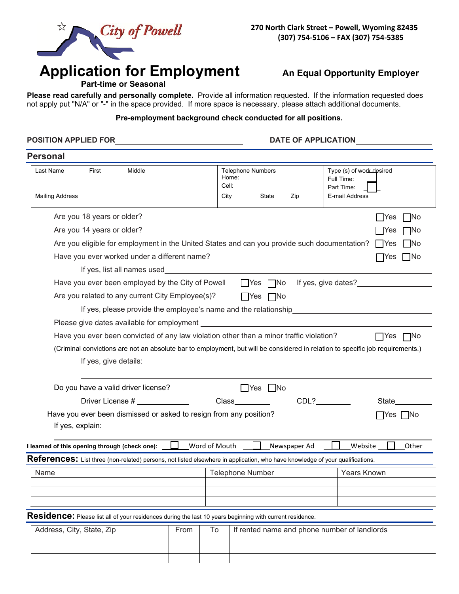

# Application for Employment An Equal Opportunity Employer

 **Part-time or Seasonal** 

**Please read carefully and personally complete.** Provide all information requested. If the information requested does not apply put "N/A" or "-" in the space provided. If more space is necessary, please attach additional documents.

### **Pre-employment background check conducted for all positions.**

**POSITION APPLIED FOR DATE OF APPLICATION** 

# **Personal**

| Last Name<br>First<br>Middle                                                                                                                                                                                                         |  | Home:<br>Cell: | <b>Telephone Numbers</b> |     | Type (s) of work desired<br>Full Time:<br>Part Time: |
|--------------------------------------------------------------------------------------------------------------------------------------------------------------------------------------------------------------------------------------|--|----------------|--------------------------|-----|------------------------------------------------------|
| <b>Mailing Address</b>                                                                                                                                                                                                               |  | City           | State                    | Zip | E-mail Address                                       |
| Are you 18 years or older?                                                                                                                                                                                                           |  |                |                          |     | <b>INo</b><br>- IYes                                 |
| Are you 14 years or older?                                                                                                                                                                                                           |  |                |                          |     | <b>IYes</b><br>]No                                   |
| Are you eligible for employment in the United States and can you provide such documentation?<br>$\Box$ Yes<br>$\Box$ No                                                                                                              |  |                |                          |     |                                                      |
| Have you ever worked under a different name?                                                                                                                                                                                         |  |                |                          |     | $\Box$ Yes<br>l No                                   |
| If yes, list all names used <b>the control of the control of the control of the control of the control of the control of the control of the control of the control of the control of the control of the control of the control o</b> |  |                |                          |     |                                                      |
| $\Box$ Yes $\Box$ No If yes, give dates?<br>Have you ever been employed by the City of Powell                                                                                                                                        |  |                |                          |     |                                                      |
| Are you related to any current City Employee(s)?                                                                                                                                                                                     |  |                | $\Box$ Yes $\Box$ No     |     |                                                      |
|                                                                                                                                                                                                                                      |  |                |                          |     |                                                      |
|                                                                                                                                                                                                                                      |  |                |                          |     |                                                      |
| Have you ever been convicted of any law violation other than a minor traffic violation?                                                                                                                                              |  |                |                          |     | $\Box$ Yes $\Box$ No                                 |
| (Criminal convictions are not an absolute bar to employment, but will be considered in relation to specific job requirements.)                                                                                                       |  |                |                          |     |                                                      |
|                                                                                                                                                                                                                                      |  |                |                          |     |                                                      |
|                                                                                                                                                                                                                                      |  |                |                          |     |                                                      |
| Do you have a valid driver license?                                                                                                                                                                                                  |  |                | □Yes ■ No                |     |                                                      |
| Driver License #<br>Class<br>CDL?<br>State                                                                                                                                                                                           |  |                |                          |     |                                                      |
| Have you ever been dismissed or asked to resign from any position?<br>̄Yes    No                                                                                                                                                     |  |                |                          |     |                                                      |
|                                                                                                                                                                                                                                      |  |                |                          |     |                                                      |
| I learned of this opening through (check one): $\Box$ Word of Mouth $\Box$ Newspaper Ad<br>Website<br>Other                                                                                                                          |  |                |                          |     |                                                      |
| ${\sf References}\colon$ List three (non-related) persons, not listed elsewhere in application, who have knowledge of your qualifications.                                                                                           |  |                |                          |     |                                                      |
| Name                                                                                                                                                                                                                                 |  |                | <b>Telephone Number</b>  |     | Years Known                                          |
|                                                                                                                                                                                                                                      |  |                |                          |     |                                                      |
|                                                                                                                                                                                                                                      |  |                |                          |     |                                                      |
| $\sf{Residence}$ : Please list all of your residences during the last 10 years beginning with current residence.                                                                                                                     |  |                |                          |     |                                                      |
| Address, City, State, Zip<br>To<br>If rented name and phone number of landlords<br>From                                                                                                                                              |  |                |                          |     |                                                      |
|                                                                                                                                                                                                                                      |  |                |                          |     |                                                      |
|                                                                                                                                                                                                                                      |  |                |                          |     |                                                      |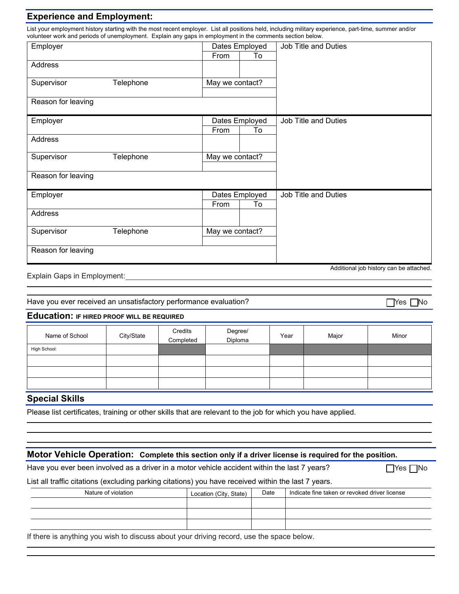# **Experience and Employment:**

List your employment history starting with the most recent employer. List all positions held, including military experience, part-time, summer and/or volunteer work and periods of unemployment. Explain any gaps in employment in the comments section below.

| Employer           |           |                 | Dates Employed | Job Title and Duties    |
|--------------------|-----------|-----------------|----------------|-------------------------|
|                    |           | From            | To             |                         |
| Address            |           |                 |                |                         |
| Supervisor         | Telephone | May we contact? |                |                         |
| Reason for leaving |           |                 |                |                         |
| Employer           |           |                 | Dates Employed | Job Title and Duties    |
|                    |           | From            | To             |                         |
| Address            |           |                 |                |                         |
| Supervisor         | Telephone | May we contact? |                |                         |
|                    |           |                 |                |                         |
| Reason for leaving |           |                 |                |                         |
| Employer           |           |                 | Dates Employed | Job Title and Duties    |
|                    |           | From            | To             |                         |
| Address            |           |                 |                |                         |
| Supervisor         | Telephone | May we contact? |                |                         |
| Reason for leaving |           |                 |                | A 1 124 1 1 2 1 1 2 1 2 |

#### Explain Gaps in Employment:

Have you ever received an unsatisfactory performance evaluation? □ △ Yes □ Yes □ No

#### **Education: IF HIRED PROOF WILL BE REQUIRED**

| Name of School | City/State | Credits<br>Completed | Degree/<br>Diploma | Year | Major | Minor |
|----------------|------------|----------------------|--------------------|------|-------|-------|
| High School:   |            |                      |                    |      |       |       |
|                |            |                      |                    |      |       |       |
|                |            |                      |                    |      |       |       |
|                |            |                      |                    |      |       |       |

#### **Special Skills**

Please list certificates, training or other skills that are relevant to the job for which you have applied.

# **Motor Vehicle Operation: Complete this section only if a driver license is required for the position.**

Have you ever been involved as a driver in a motor vehicle accident within the last 7 years?  $\Box$  Yes  $\Box$  No

List all traffic citations (excluding parking citations) you have received within the last 7 years.

| Nature of violation | Location (City, State) | Date | Indicate fine taken or revoked driver license |
|---------------------|------------------------|------|-----------------------------------------------|
|                     |                        |      |                                               |
|                     |                        |      |                                               |
|                     |                        |      |                                               |
|                     |                        |      |                                               |

If there is anything you wish to discuss about your driving record, use the space below.

Additional job history can be attached.